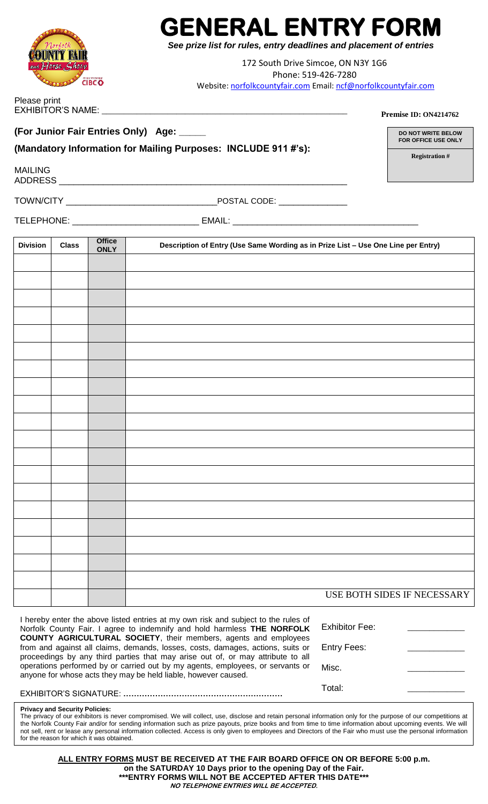## **GENERAL ENTRY FORM**

*See prize list for rules, entry deadlines and placement of entries*

172 South Drive Simcoe, ON N3Y 1G6 Phone: 519-426-7280 Website: [norfolkcountyfair.com](mailto:norfolkcountyfair.com) Email[: ncf@norfolkcountyfair.com](mailto:ncf@norfolkcountyfair.com)

Please print

**(For Junior Fair Entries Only) Age: \_\_\_\_\_**

## **(Mandatory Information for Mailing Purposes: INCLUDE 911 #'s):**

EXHIBITOR'S NAME: \_\_\_\_\_\_\_\_\_\_\_\_\_\_\_\_\_\_\_\_\_\_\_\_\_\_\_\_\_\_\_\_\_\_\_\_\_\_\_\_\_\_\_\_\_\_\_\_\_\_\_\_\_\_\_\_

MAILING

 $ADDRESS$ 

TOWN/CITY \_\_\_\_\_\_\_\_\_\_\_\_\_\_\_\_\_\_\_\_\_\_\_\_\_\_\_\_\_\_\_POSTAL CODE: \_\_\_\_\_\_\_\_\_\_\_\_\_\_

TELEPHONE: \_\_\_\_\_\_\_\_\_\_\_\_\_\_\_\_\_\_\_\_\_\_\_\_\_\_ EMAIL: \_\_\_\_\_\_\_\_\_\_\_\_\_\_\_\_\_\_\_\_\_\_\_\_\_\_\_\_\_\_\_\_\_\_\_\_\_\_

| <b>Division</b> | <b>Class</b> | <b>Office</b><br><b>ONLY</b> | Description of Entry (Use Same Wording as in Prize List - Use One Line per Entry) |
|-----------------|--------------|------------------------------|-----------------------------------------------------------------------------------|
|                 |              |                              |                                                                                   |
|                 |              |                              |                                                                                   |
|                 |              |                              |                                                                                   |
|                 |              |                              |                                                                                   |
|                 |              |                              |                                                                                   |
|                 |              |                              |                                                                                   |
|                 |              |                              |                                                                                   |
|                 |              |                              |                                                                                   |
|                 |              |                              |                                                                                   |
|                 |              |                              |                                                                                   |
|                 |              |                              |                                                                                   |
|                 |              |                              |                                                                                   |
|                 |              |                              |                                                                                   |
|                 |              |                              |                                                                                   |
|                 |              |                              |                                                                                   |
|                 |              |                              |                                                                                   |
|                 |              |                              |                                                                                   |
|                 |              |                              |                                                                                   |
|                 |              |                              |                                                                                   |
|                 |              |                              | USE BOTH SIDES IF NECESSARY                                                       |
|                 |              |                              |                                                                                   |

I hereby enter the above listed entries at my own risk and subject to the rules of Norfolk County Fair. I agree to indemnify and hold harmless **THE NORFOLK COUNTY AGRICULTURAL SOCIETY**, their members, agents and employees from and against all claims, demands, losses, costs, damages, actions, suits or proceedings by any third parties that may arise out of, or may attribute to all operations performed by or carried out by my agents, employees, or servants or anyone for whose acts they may be held liable, however caused.

EXHIBITOR'S SIGNATURE: **……………………………………………………**

Exhibitor Fee:

Entry Fees:

Misc.

Total:

## **Privacy and Security Policies:**

The privacy of our exhibitors is never compromised. We will collect, use, disclose and retain personal information only for the purpose of our competitions at the Norfolk County Fair and/or for sending information such as prize payouts, prize books and from time to time information about upcoming events. We will not sell, rent or lease any personal information collected. Access is only given to employees and Directors of the Fair who must use the personal information for the reason for which it was obtained.

**ALL ENTRY FORMS MUST BE RECEIVED AT THE FAIR BOARD OFFICE ON OR BEFORE 5:00 p.m. on the SATURDAY 10 Days prior to the opening Day of the Fair. \*\*\*ENTRY FORMS WILL NOT BE ACCEPTED AFTER THIS DATE\*\*\* NO TELEPHONE ENTRIES WILL BE ACCEPTED.** 



**Premise ID: ON4214762**

**DO NOT WRITE BELOW FOR OFFICE USE ONLY**

**Registration #**